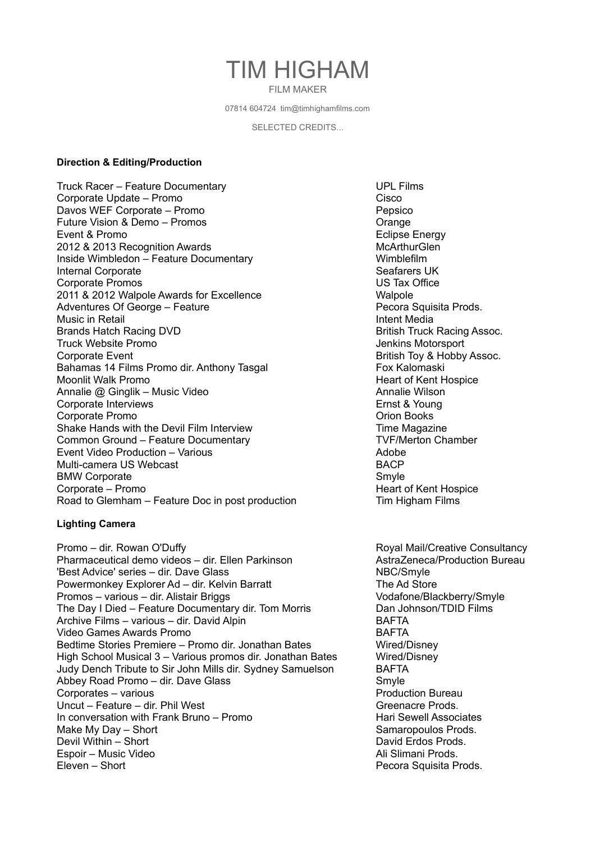# TIM HIGHAM FILM MAKER

07814 604724 tim@timhighamfilms.com

SELECTED CREDITS...

#### **Direction & Editing/Production**

Truck Racer – Feature Documentary Vancountary VIPL Films Corporate Update – Promo Davos WEF Corporate – Promo Pepsico Future Vision & Demo – Promos **Cangler Contract Contract Contract Contract Contract Contract Contract Contract Contract Contract Contract Contract Contract Contract Contract Contract Contract Contract Contract Contract Con** Event & Promo **Example 2018** Exercise Energy 2012 & 2013 Recognition Awards McArthurGlen Inside Wimbledon – Feature Documentary Wimblefilm Internal Corporate **Seafarers UK** Corporate Promos US Tax Office 2011 & 2012 Walpole Awards for Excellence Walpole Adventures Of George – Feature **Pecora Squisita Prods.** Pecora Squisita Prods. Music in Retail **Intent Media Intent Media** Brands Hatch Racing DVD **British Truck Racing Assoc.** Truck Website Promo Jenkins Motorsport Corporate Event **British Toy & Hobby Assoc.** Bahamas 14 Films Promo dir. Anthony Tasgal Fox Kalomaski<br>Moonlit Walk Promo **Fox Kalomaski**<br>Heart of Kent H Annalie @ Ginglik – Music Video Annalie Wilson Annalie Wilson Corporate Interviews Ernst & Young Corporate Promo Orion Books Shake Hands with the Devil Film Interview The Magazine Time Magazine Common Ground – Feature Documentary TVF/Merton Chamber Event Video Production – Various Adobe Multi-camera US Webcast **BACP** BMW Corporate Smyle Smyle Corporate – Promo **Heart of Kent Hospice Heart of Kent Hospice** Road to Glemham – Feature Doc in post production Tim Higham Films

### **Lighting Camera**

Promo – dir. Rowan O'Duffy **Royal Mail/Creative Consultancy** Pharmaceutical demo videos – dir. Ellen Parkinson Matta Zeneca/Production Bureau 'Best Advice' series – dir. Dave Glass NBC/Smyle Powermonkey Explorer Ad – dir. Kelvin Barratt The Ad Store Promos – various – dir. Alistair Briggs Vodafone/Blackberry/Smyle The Day I Died – Feature Documentary dir. Tom Morris Dan Johnson/TDID Films Archive Films – various – dir. David Alpin BAFTA Video Games Awards Promo BAFTA Bedtime Stories Premiere – Promo dir. Jonathan Bates Wired/Disney High School Musical 3 – Various promos dir. Jonathan Bates Wired/Disney Judy Dench Tribute to Sir John Mills dir. Sydney Samuelson BAFTA Abbey Road Promo – dir. Dave Glass Smyle Corporates – various Production Bureau Corporates – various Production Bureau Production Bureau Uncut – Feature – dir. Phil West Greenacre Prods. In conversation with Frank Bruno – Promo Hari Sewell Associates Make My Day – Short Samaropoulos Prods. Devil Within – Short David Erdos Prods. Espoir – Music Video **Ali Slimani Prods.** Ali Slimani Prods. Eleven – Short Pecora Squisita Prods.

Heart of Kent Hospice